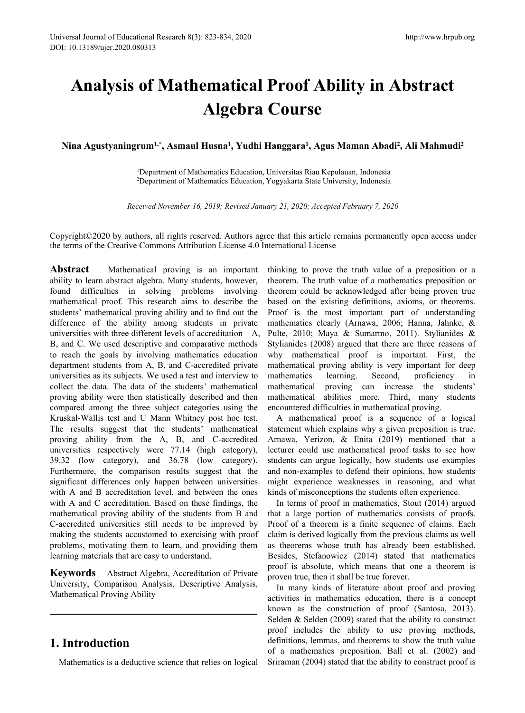# **Analysis ofMathematical Proof Ability in Abstract Algebra Course** Versal Journal of Educational Research 8(3): 823-834, 2020<br>
1: 10.13189/ujer.2020.080313<br> **Analysis of Mathematical Proof Abili**<br> **Algebra Course**<br>
Nina Agustyaningrum<sup>1,\*</sup>, Asmaul Husna<sup>1</sup>, Yudhi Hanggara<sup>1</sup>, Agus Ma<br>
<sup>1</sup> <sup>, 2020</sup><br> **tical Proof Ability in Abs<br>
ebra Course**<br>
, Yudhi Hanggara<sup>1</sup>, Agus Maman Abadi<sup>2</sup>, Al<br>
Education, Universitas Riau Kepulauan, Indonesia<br>
Education, Vogyakarta State University, Indonesia http://www.hrpub.org<br> **Ability in Abstract<br>
se**<br> **, Agus Maman Abadi<sup>2</sup>, Ali Mahmudi<sup>2</sup><br>
tiau Kepulauan, Indonesia<br>
tate University, Indonesia** http://www.hrpub.org<br> **bstract**<br> **,** Ali Mahmudi<sup>2</sup> **References Algebra Course**<br>**Received November 16, 2019; Revised January 21, 2020; Accepted February 7, 2020**<br>**Received November 16, 2019; Revised January 21, 2020; Accepted February 7, 2020**<br>**Received November 16, 2019; R**

<sup>1</sup>Department of Mathematics Education, Universitas Riau Kepulauan, Indonesia <sup>2</sup>Department of Mathematics Education, Yogyakarta State University, Indonesia

Copyright©2020 by authors, all rights reserved. Authors agree that this article remains permanently open access under the terms of the Creative Commons Attribution License 4.0 International License

**Abstract** Mathematical proving is an important ability to learn abstract algebra. Many students, however, found difficulties in solving problems involving mathematical proof. This research aims to describe the students' mathematical proving ability and to find out the difference of the ability among students in private universities with three different levels of accreditation  $-A$ , B, and C. We used descriptive and comparative methods to reach the goals by involving mathematics education department students from A, B, and C-accredited private universities as its subjects. We used a test and interview to mathematics learning. collect the data. The data of the students' mathematical proving ability were then statistically described and then compared among the three subject categories using the Kruskal-Wallis test and U Mann Whitney post hoc test. The results suggest that the students' mathematical proving ability from the A, B, and C-accredited universities respectively were 77.14 (high category), 39.32 (low category), and 36.78 (low category). Furthermore, the comparison results suggest that the significant differences only happen between universities with A and B accreditation level, and between the ones with A and C accreditation. Based on these findings, the mathematical proving ability of the students from B and C-accredited universities still needs to be improved by making the students accustomed to exercising with proof problems, motivating them to learn, and providing them learning materials that are easy to understand.

**Keywords** Abstract Algebra, Accreditation of Private University, Comparison Analysis, Descriptive Analysis, Mathematical Proving Ability

# **1. Introduction**

Mathematics is a deductive science that relies on logical

thinking to prove the truth value of a preposition or a theorem. The truth value of a mathematics preposition or theorem could be acknowledged after being proven true based on the existing definitions, axioms, or theorems. Proof is the most important part of understanding mathematics clearly (Arnawa, 2006; Hanna, Jahnke, & Pulte, 2010; Maya & Sumarmo, 2011). Stylianides & Stylianides (2008) argued that there are three reasons of why mathematical proof is important. First, the mathematical proving ability is very important for deep Second, proficiency in proving can increase the students' mathematical abilities more. Third, many students encountered difficulties in mathematical proving.

A mathematical proof is a sequence of a logical statement which explains why a given preposition is true. Arnawa, Yerizon, & Enita (2019) mentioned that a lecturer could use mathematical proof tasks to see how students can argue logically, how students use examples and non-examples to defend their opinions, how students might experience weaknesses in reasoning, and what kinds of misconceptions the students often experience.

In terms of proof in mathematics, Stout (2014) argued that a large portion of mathematics consists of proofs. Proof of a theorem is a finite sequence of claims. Each claim is derived logically from the previous claims as well as theorems whose truth has already been established. Besides, Stefanowicz (2014) stated that mathematics proof is absolute, which means that one a theorem is proven true, then it shall be true forever.

In many kinds of literature about proof and proving activities in mathematics education, there is a concept known as the construction of proof (Santosa, 2013). Selden & Selden (2009) stated that the ability to construct proof includes the ability to use proving methods, definitions, lemmas, and theorems to show the truth value of a mathematics preposition. Ball et al. (2002) and Sriraman (2004) stated that the ability to construct proof is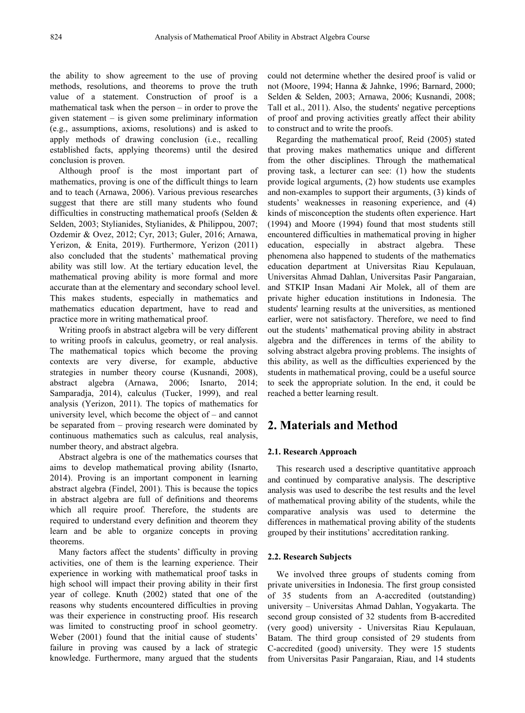the ability to show agreement to the use of proving methods, resolutions, and theorems to prove the truth value of a statement. Construction of proof is a mathematical task when the person – in order to prove the given statement– is given some preliminary information (e.g., assumptions, axioms, resolutions) and is asked to apply methods of drawing conclusion (i.e., recalling established facts, applying theorems) until the desired conclusion is proven.

Although proof is the most important part of mathematics, proving is one of the difficult things to learn and to teach (Arnawa, 2006). Various previous researches suggest that there are still many students who found difficulties in constructing mathematical proofs (Selden & Selden, 2003; Stylianides, Stylianides, & Philippou, 2007; Ozdemir & Ovez, 2012; Cyr, 2013; Guler, 2016; Arnawa, Yerizon, & Enita, 2019). Furthermore, Yerizon (2011) education, also concluded that the students' mathematical proving ability was still low. At the tertiary education level, the mathematical proving ability is more formal and more accurate than at the elementary and secondary school level. This makes students, especially in mathematics and mathematics education department, have to read and practice more in writing mathematical proof.

Writing proofs in abstract algebra will be very different to writing proofs in calculus, geometry, or real analysis. The mathematical topics which become the proving contexts are very diverse, for example, abductive strategies in number theory course (Kusnandi, 2008), abstract algebra (Arnawa, 2006; Isnarto, 2014; Samparadja, 2014), calculus (Tucker, 1999), and real analysis (Yerizon, 2011). The topics of mathematics for university level, which become the object of – and cannot be separated from – proving research were dominated by continuous mathematics such as calculus, real analysis, number theory, and abstract algebra.

Abstract algebra is one of the mathematics courses that aims to develop mathematical proving ability (Isnarto, 2014). Proving is an important component in learning abstract algebra (Findel, 2001). This is because the topics in abstract algebra are full of definitions and theorems which all require proof. Therefore, the students are required to understand every definition and theorem they learn and be able to organize concepts in proving theorems.

Many factors affect the students' difficulty in proving activities, one of them is the learning experience. Their experience in working with mathematical proof tasks in high school will impact their proving ability in their first year of college. Knuth (2002) stated that one of the reasons why students encountered difficulties in proving was their experience in constructing proof. His research was limited to constructing proof in school geometry. Weber (2001) found that the initial cause of students' failure in proving was caused by a lack of strategic knowledge. Furthermore, many argued that the students

could not determine whether the desired proof is valid or not (Moore, 1994; Hanna & Jahnke, 1996; Barnard, 2000; Selden & Selden, 2003; Arnawa, 2006; Kusnandi, 2008; Tall et al., 2011). Also, the students' negative perceptions of proof and proving activities greatly affect their ability to construct and to write the proofs.

Regarding the mathematical proof, Reid (2005) stated that proving makes mathematics unique and different from the other disciplines. Through the mathematical proving task, a lecturer can see: (1) how the students provide logical arguments, (2) how students use examples and non-examples to support their arguments, (3) kinds of students' weaknesses in reasoning experience, and (4) kinds of misconception the students often experience. Hart (1994) and Moore (1994) found that most students still encountered difficulties in mathematical proving in higher especially in abstract algebra. These phenomena also happened to students of the mathematics education department at Universitas Riau Kepulauan, Universitas Ahmad Dahlan, Universitas Pasir Pangaraian, and STKIP Insan Madani Air Molek, all of them are private higher education institutions in Indonesia. The students' learning results at the universities, as mentioned earlier, were not satisfactory. Therefore, we need to find out the students' mathematical proving ability in abstract algebra and the differences in terms of the ability to solving abstract algebra proving problems. The insights of this ability, as well as the difficulties experienced by the students in mathematical proving, could be a useful source to seek the appropriate solution. In the end, it could be reached a better learning result.

## **2. Materials and Method**

## **2.1. Research Approach**

This research used a descriptive quantitative approach and continued by comparative analysis. The descriptive analysis was used to describe the test results and the level of mathematical proving ability of the students, while the comparative analysis was used to determine the differences in mathematical proving ability of the students grouped by their institutions' accreditation ranking.

#### **2.2. Research Subjects**

We involved three groups of students coming from private universities in Indonesia. The first group consisted of 35 students from an A-accredited (outstanding) university – Universitas Ahmad Dahlan, Yogyakarta. The second group consisted of 32 students from B-accredited (very good) university - Universitas Riau Kepulauan, Batam. The third group consisted of 29 students from C-accredited (good) university. They were 15 students from Universitas Pasir Pangaraian, Riau, and 14 students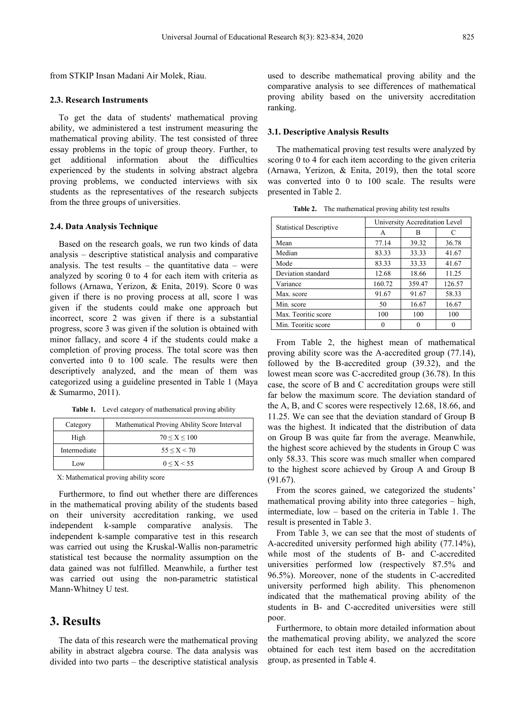from STKIP Insan Madani Air Molek, Riau.

#### **2.3. Research Instruments**

To get the data of students' mathematical proving ability, we administered a test instrument measuring the mathematical proving ability. The test consisted of three essay problems in the topic of group theory. Further, to get additional information about the difficulties experienced by the students in solving abstract algebra proving problems, we conducted interviews with six students as the representatives of the research subjects from the three groups of universities.

#### **2.4. Data Analysis Technique**

Based on the research goals, we run two kinds of data analysis – descriptive statistical analysis and comparative analysis. The test results  $-$  the quantitative data  $-$  were analyzed by scoring 0 to 4 for each item with criteria as follows (Arnawa, Yerizon, & Enita, 2019). Score 0 was given if there is no proving process at all, score 1 was given if the students could make one approach but incorrect, score 2 was given if there is a substantial progress, score 3 was given if the solution is obtained with minor fallacy, and score 4 if the students could make a completion of proving process. The total score was then converted into 0 to 100 scale. The results were then descriptively analyzed, and the mean of them was categorized using a guideline presented in Table 1 (Maya & Sumarmo, 2011).

**Table 1.** Level category of mathematical proving ability

| Category     | Mathematical Proving Ability Score Interval |
|--------------|---------------------------------------------|
| High         | $70 \leq X \leq 100$                        |
| Intermediate | $55 \le X \le 70$                           |
| Low          | 0 < X < 55                                  |

X: Mathematical proving ability score

Furthermore, to find out whether there are differences in the mathematical proving ability of the students based on their university accreditation ranking, we used independent k-sample comparative analysis. The independent k-sample comparative test in this research was carried out using the Kruskal-Wallis non-parametric statistical test because the normality assumption on the data gained was not fulfilled. Meanwhile, a further test was carried out using the non-parametric statistical Mann-Whitney U test.

## **3. Results**

The data of this research were the mathematical proving ability in abstract algebra course. The data analysis was divided into two parts – the descriptive statistical analysis used to describe mathematical proving ability and the comparative analysis to see differences of mathematical proving ability based on the university accreditation ranking.

### **3.1. Descriptive Analysis Results**

The mathematical proving test results were analyzed by scoring 0 to 4 for each item according to the given criteria (Arnawa, Yerizon, & Enita, 2019), then the total score was converted into 0 to 100 scale. The results were presented in Table 2.

|                                | University Accreditation Level |        |        |  |  |  |  |  |
|--------------------------------|--------------------------------|--------|--------|--|--|--|--|--|
| <b>Statistical Descriptive</b> | A                              | в      | C      |  |  |  |  |  |
| Mean                           | 77.14                          | 39.32  | 36.78  |  |  |  |  |  |
| Median                         | 83.33                          | 33.33  | 41.67  |  |  |  |  |  |
| Mode                           | 83.33                          | 33.33  | 41.67  |  |  |  |  |  |
| Deviation standard             | 12.68                          | 18.66  | 11.25  |  |  |  |  |  |
| Variance                       | 160.72                         | 359.47 | 126.57 |  |  |  |  |  |
| Max. score                     | 91.67                          | 91.67  | 58.33  |  |  |  |  |  |
| Min. score                     | 50                             | 16.67  | 16.67  |  |  |  |  |  |

Max. Teoritic score 100 100 100 100 Min. Teoritic score  $\begin{vmatrix} 0 & 0 & 0 \end{vmatrix}$  0 0

**Table 2.** The mathematical proving ability test results

From Table 2, the highest mean of mathematical proving ability score was the A-accredited group (77.14), followed by the B-accredited group (39.32), and the lowest mean score was C-accredited group (36.78). In this case, the score of B and C accreditation groups were still far below the maximum score. The deviation standard of the A, B, and C scores were respectively 12.68, 18.66, and 11.25. We can see that the deviation standard of Group B was the highest. It indicated that the distribution of data on Group B was quite far from the average. Meanwhile, the highest score achieved by the students in Group  $C$  was only 58.33. This score was much smaller when compared to the highest score achieved by Group A and Group B (91.67).

From the scores gained, we categorized the students' mathematical proving ability into three categories – high, intermediate, low – based on the criteria in Table 1. The result is presented in Table 3.

From Table 3, we can see that the most of students of A-accredited university performed high ability (77.14%), while most of the students of B- and C-accredited universities performed low (respectively 87.5% and 96.5%). Moreover, none of the students in C-accredited university performed high ability. This phenomenon indicated that the mathematical proving ability of the students in B- and C-accredited universities were still poor.

Furthermore, to obtain more detailed information about the mathematical proving ability, we analyzed the score obtained for each test item based on the accreditation group, as presented in Table 4.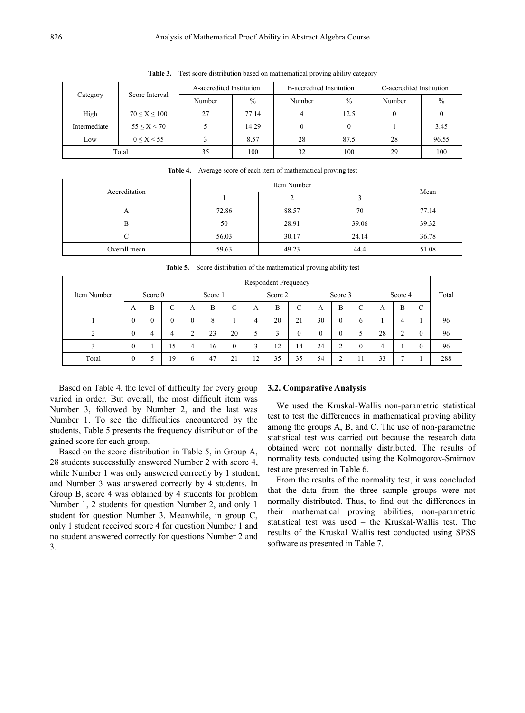|  | Score Interval<br>Category |                      | A-accredited Institution |               | B-accredited Institution |               | C-accredited Institution |       |  |
|--|----------------------------|----------------------|--------------------------|---------------|--------------------------|---------------|--------------------------|-------|--|
|  |                            |                      | Number                   | $\frac{0}{0}$ | Number                   | $\frac{0}{0}$ | Number                   | $\%$  |  |
|  | High                       | $70 \leq X \leq 100$ | 27                       | 77.14         | 4                        | 12.5          |                          |       |  |
|  | Intermediate               | $55 \le X \le 70$    |                          | 14.29         | $\boldsymbol{0}$         | $\theta$      |                          | 3.45  |  |
|  | Low                        | $0 \le X < 55$       |                          | 8.57          | 28                       | 87.5          | 28                       | 96.55 |  |
|  |                            | Total                | 35                       | 100           | 32                       | 100           | 29                       | 100   |  |

**Table 3.** Test score distribution based on mathematical proving ability category

**Table 4.** Average score of each item of mathematical proving test

| Accreditation |       | Item Number |       |       |  |  |  |  |
|---------------|-------|-------------|-------|-------|--|--|--|--|
|               |       |             |       | Mean  |  |  |  |  |
| $\Gamma$      | 72.86 | 88.57       | 70    | 77.14 |  |  |  |  |
| B             | 50    | 28.91       | 39.06 | 39.32 |  |  |  |  |
|               | 56.03 | 30.17       | 24.14 | 36.78 |  |  |  |  |
| Overall mean  | 59.63 | 49.23       | 44.4  | 51.08 |  |  |  |  |

**Table 5.** Score distribution of the mathematical proving ability test

|             | Respondent Frequency |              |             |          |         |              |    |         |    |              |               |        |    |         |  |       |
|-------------|----------------------|--------------|-------------|----------|---------|--------------|----|---------|----|--------------|---------------|--------|----|---------|--|-------|
| Item Number |                      | Score 0      |             |          | Score 1 |              |    | Score 2 |    |              | Score 3       |        |    | Score 4 |  | Total |
|             | A                    | B            | $\sim$<br>◡ | A        | B       | C            | A  | B       | ◡  | A            | B             | $\sim$ | A  | B       |  |       |
|             | $\theta$             | $\mathbf{0}$ | $\theta$    | $\theta$ | 8       |              | 4  | 20      | 21 | 30           | $\mathbf{0}$  | 6      |    | 4       |  | 96    |
| $\sim$      |                      | 4            | 4           |          | 23      | 20           |    |         |    | $\mathbf{0}$ | $\theta$      |        | 28 |         |  | 96    |
|             |                      |              | 15          | 4        | 16      | $\mathbf{0}$ | o  | 12      | 14 | 24           | $\mathcal{L}$ |        | 4  |         |  | 96    |
| Total       | $\theta$             |              | 19          | 6        | 47      | 21           | 12 | 35      | 35 | 54           |               |        | 33 |         |  | 288   |

Based on Table 4, the level of difficulty for every group varied in order. But overall, the most difficult item was Number 3, followed by Number 2, and the last was Number 1. To see the difficulties encountered by the students, Table 5 presents the frequency distribution of the gained score for each group.

Based on the score distribution in Table 5, in Group A, 28 students successfully answered Number 2 with score 4, while Number 1 was only answered correctly by 1 student, and Number 3 was answered correctly by 4 students. In Group B, score 4 was obtained by 4 students for problem Number 1, 2 students for question Number 2, and only 1 student for question Number 3. Meanwhile, in group C, only 1 student received score 4 for question Number 1 and no student answered correctly for questions Number 2 and 3.

#### **3.2. Comparative Analysis**

We used the Kruskal-Wallis non-parametric statistical test to test the differences in mathematical proving ability among the groups A, B, and C. The use of non-parametric statistical test was carried out because the research data obtained were not normally distributed. The results of normality tests conducted using the Kolmogorov-Smirnov test are presented in Table 6.

From the results of the normality test, it was concluded that the data from the three sample groups were not normally distributed. Thus, to find out the differences in their mathematical proving abilities, non-parametric statistical test was used – the Kruskal-Wallis test. The results of the Kruskal Wallis test conducted using SPSS software as presented in Table 7.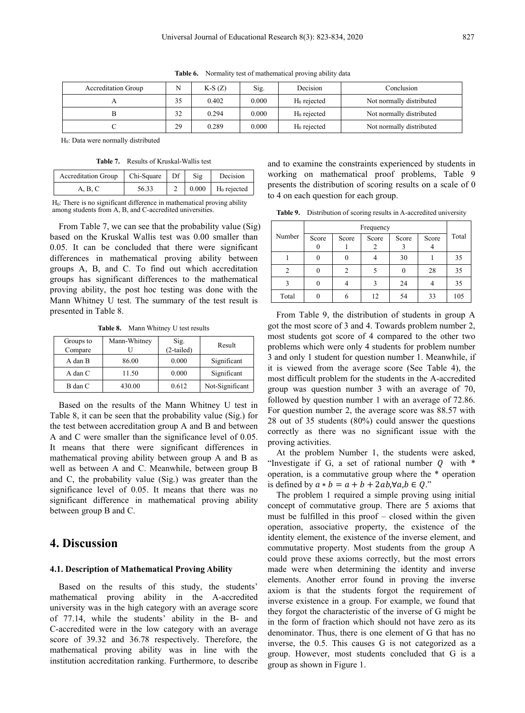| <b>Accreditation Group</b> | N  | $K-S(Z)$ | Sig.  | Decision                | Conclusion               |
|----------------------------|----|----------|-------|-------------------------|--------------------------|
|                            |    | 0.402    | 0.000 | H <sub>0</sub> rejected | Not normally distributed |
|                            | 22 | 0.294    | 0.000 | $H_0$ rejected          | Not normally distributed |
|                            | 29 | 0.289    | 0.000 | $H_0$ rejected          | Not normally distributed |

**Table 6.** Normality test of mathematical proving ability data

H0: Data were normally distributed

**Table 7.** Results of Kruskal-Wallis test

| Accreditation Group $\vert$ Chi-Square $\vert$ Df $\vert$ Sig |       |  | Decision                              | working on                                      |
|---------------------------------------------------------------|-------|--|---------------------------------------|-------------------------------------------------|
| A, B, C                                                       | 56.33 |  | 2   $0.000$   H <sub>0</sub> rejected | presents the<br>to $\Lambda$ on each $\epsilon$ |

 $H_0$ : There is no significant difference in mathematical proving ability among students from A, B, and C-accredited universities.

From Table 7, we can see that the probability value (Sig) based on the Kruskal Wallis test was 0.00 smaller than 0.05. It can be concluded that there were significant differences in mathematical proving ability between groups A, B, and C. To find out which accreditation groups has significant differences to the mathematical proving ability, the post hoc testing was done with the Mann Whitney U test. The summary of the test result is presented in Table 8.

**Table 8.** Mann Whitney U test results

| Groups to<br>Compare | Mann-Whitney | Sig.<br>$(2-tailed)$ | Result          |
|----------------------|--------------|----------------------|-----------------|
| A dan B              | 86.00        | 0.000                | Significant     |
| A dan C              | 11.50        | 0.000                | Significant     |
| B dan C              | 430.00       | 0.612                | Not-Significant |

Based on the results of the Mann Whitney U test in Table 8, it can be seen that the probability value (Sig.) for the test between accreditation group A and B and between A and C were smaller than the significance level of 0.05. It means that there were significant differences in mathematical proving ability between group A and B as well as between A and C. Meanwhile, between group B and C, the probability value (Sig.) was greater than the significance level of 0.05. It means that there was no significant difference in mathematical proving ability between group B and C.

## **4. Discussion**

## **4.1. Description of Mathematical Proving Ability**

Based on the results of this study, the students' mathematical proving ability in the A-accredited university was in the high category with an average score of 77.14, while the students' ability in the B- and C-accredited were in the low category with an average score of 39.32 and 36.78 respectively. Therefore, the mathematical proving ability was in line with the institution accreditation ranking. Furthermore, to describe

Accreditation Group Chi-Square Df Sig Decision working on mathematical proof problems, Table 9 and to examine the constraints experienced by students in presents the distribution of scoring results on a scale of 0 to 4 on each question for each group.

**Table 9.** Distribution of scoring results in A-accredited university

|                | Frequency |          |       |              |            |       |  |  |  |  |
|----------------|-----------|----------|-------|--------------|------------|-------|--|--|--|--|
| Number         | Score     | Score    | Score | Score        | Score<br>4 | Total |  |  |  |  |
|                | $\theta$  | $\theta$ | 4     | 30           |            | 35    |  |  |  |  |
| $\overline{2}$ | $\theta$  | 2        |       | $\mathbf{0}$ | 28         | 35    |  |  |  |  |
| 3              | $\Omega$  | 4        | 3     | 24           | 4          | 35    |  |  |  |  |
| Total          | $\theta$  | 6        | 12    | 54           | 33         | 105   |  |  |  |  |

From Table 9, the distribution of students in group A got the most score of 3 and 4. Towards problem number 2, most students got score of 4 compared to the other two problems which were only 4 students for problem number 3 and only 1 student for question number 1. Meanwhile, if it is viewed from the average score (See Table 4), the most difficult problem for the students in the A-accredited group wasquestion number 3 with an average of 70, followed by question number 1 with an average of 72.86. For question number 2, the average score was 88.57 with 28 out of 35 students (80%) could answer the questions correctly as there was no significant issue with the proving activities.

At the problem Number 1, the students were asked, "Investigate if G, a set of rational number  $Q$  with  $*$ operation, is a commutative group where the \* operation is defined by  $a * b = a + b + 2ab, \forall a, b \in Q$ ."

The problem 1 required a simple proving using initial concept of commutative group. There are 5 axioms that must be fulfilled in this proof – closed within the given operation, associative property, the existence of the identity element, the existence of the inverse element, and commutative property. Most students from the group A could prove these axioms correctly, but the most errors made were when determining the identity and inverse elements. Another error found in proving the inverse axiom is that the students forgot the requirement of inverse existence in a group. For example, we found that they forgot the characteristic of the inverse of G might be in the form of fraction which should not have zero as its denominator. Thus, there is one element of G that has no inverse, the 0.5. This causes G is not categorized as a group. However, most students concluded that G is a group as shown in Figure 1.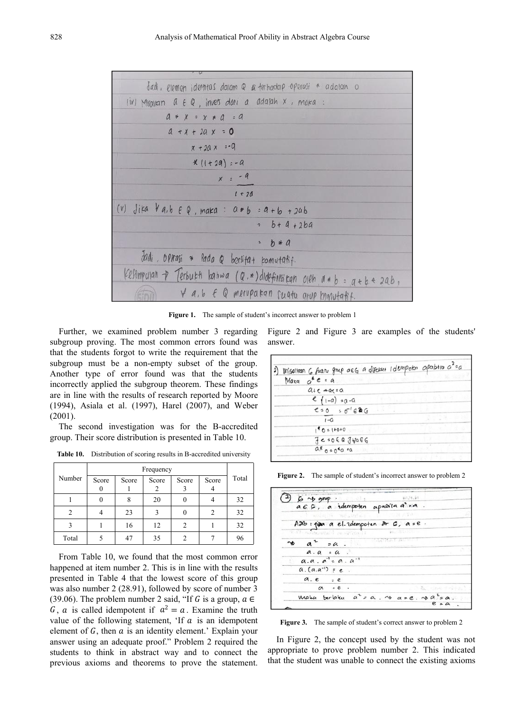

**Figure 1.** The sample of student's incorrect answer to problem 1

Further, we examined problem number 3 regarding subgroup proving. The most common errors found was that the students forgot to write the requirement that the subgroup must be a non-empty subset of the group. Another type of error found was that the students incorrectly applied the subgroup theorem. These findings are in line with the results of research reported by Moore (1994), Asiala et al. (1997), Harel (2007), and Weber (2001).

The second investigation was for the B-accredited group. Their score distribution is presented in Table 10.

**Table 10.** Distribution of scoring results in B-accredited university

|        |       |       | Frequency |       |                |       |                                                 |
|--------|-------|-------|-----------|-------|----------------|-------|-------------------------------------------------|
| Number | Score | Score | Score     | Score | Score          | Total | Figure 2.                                       |
|        |       |       |           |       |                |       |                                                 |
|        | 0     | 8     | 20        | 0     |                | 32    | $\frac{1}{2}$<br>$a \epsilon$                   |
| 2      |       | 23    | 3         | 0     | $\overline{c}$ | 32    |                                                 |
|        |       | 16    | 12        | 2     |                | 32    | Aab                                             |
| Total  |       | 47    | 35        | 2     |                | 96    | $9.47 - 9.0$<br>$\overline{a}$<br>$\rightarrow$ |

From Table 10, we found that the most common error happened at item number 2. This is in line with the results presented in Table 4 that the lowest score of this group was also number 2 (28.91), followed by score of number 3 (39.06). The problem number 2 said, "If G is a group,  $a \in$ G, a is called idempotent if  $a^2 = a$ . Examine the truth value of the following statement, 'If  $a$  is an idempotent element of  $G$ , then  $\alpha$  is an identity element.' Explain your answer using an adequate proof." Problem 2 required the students to think in abstract way and to connect the previous axioms and theorems to prove the statement.

Figure 2 and Figure 3 are examples of the students' answer.

| 2) Misallam 6 fuaru grup a EG a disebut I dimpoter apabilo a <sup>2</sup> = a |  |
|-------------------------------------------------------------------------------|--|
| Marq $a^*e = a$                                                               |  |
| $a_{1}e - a_{1}e$                                                             |  |
| $e_{1-a} = a - a$                                                             |  |
| $e = 0$ : $\sigma' e \otimes G$                                               |  |
| $1 - G$                                                                       |  |
| $1^6$ 0 = 1+0+0                                                               |  |
| $7e:060J\forall a \in G$                                                      |  |
| $a*_{0.0}a*_{0.0}a$                                                           |  |
|                                                                               |  |

**Figure 2.** The sample of student's incorrect answer to problem 2

| $6 \rightarrow 9^{nq}$                                           | $107 - 9 - 87$    |
|------------------------------------------------------------------|-------------------|
| a 6 G, a idempoten apabila a sa.                                 |                   |
| MARITA THE COPIES !                                              | <b>TURNATION</b>  |
| Adib: pipe a el. idempoten dr G, a = e.                          |                   |
| 11.47 - assistantial Parameters 12.4                             | Fig. 6 D.H. Cole  |
| $a^2$ = $a$ .                                                    | <b>CONTRACTOR</b> |
| $a \cdot a = a$ .                                                |                   |
| $a.a. a' = a. a^{-1}$                                            |                   |
| $a.(a.a^{-1}) = e$ .                                             |                   |
| a.e.                                                             |                   |
| $\alpha$ . $e$ .                                                 | 200 名。 化四极 十四倍的   |
| Maka berlaku a <sup>2</sup> = a. v a = e. ng a <sup>2</sup> = a. |                   |
|                                                                  | $e$ = $a$ .       |

**Figure 3.** The sample of student's correct answer to problem 2

In Figure 2, the concept used by the student was not appropriate to prove problem number 2. This indicated that the student was unable to connect the existing axioms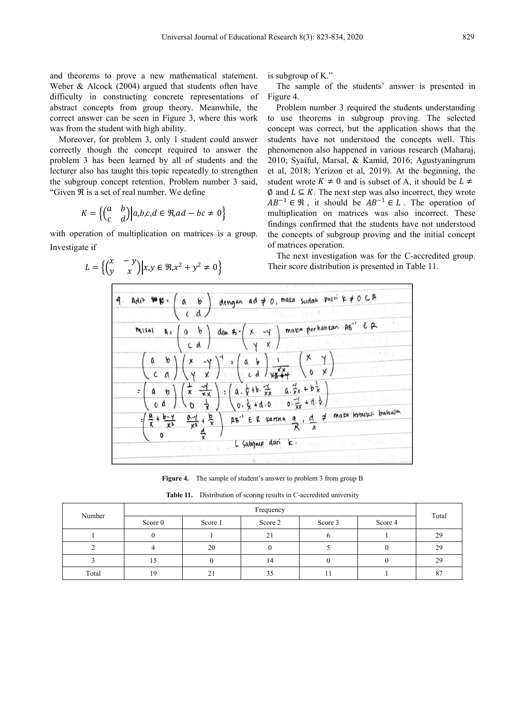and theorems to prove a new mathematical statement. Weber & Alcock (2004) argued that students often have difficulty in constructing concrete representations of abstract concepts from group theory. Meanwhile, the correct answer can be seen in Figure 3, where this work was from the student with high ability.

Moreover, for problem 3, only 1 student could answer correctly though the concept required to answer the problem 3 has been learned by all of students and the lecturer also has taught this topic repeatedly to strengthen the subgroup concept retention. Problem number 3 said, "Given  $\Re$  is a set of real number. We define

$$
K = \left\{ \begin{pmatrix} a & b \\ c & d \end{pmatrix} \middle| a, b, c, d \in \Re, ad - bc \neq 0 \right\}
$$

with operation of multiplication on matrices is a group. Investigate if

> $L = \left\{ \begin{pmatrix} x & -y \\ y & x \end{pmatrix} \middle| x, y \in \Re, x^2 + y^2 \neq 0 \right\}$  $\begin{cases}\n\dddot{x}, & \text{if } x, y \in \Re, x^2 + y^2 \neq 0\n\end{cases}$  Their score d

is subgroup of K."

The sample of the students' answer is presented in Figure 4.

 $a,b,c,d \in \mathfrak{R}, ad - bc \neq 0$  multiplication on matrices was also incorrect. These Problem number 3 required the students understanding to use theorems in subgroup proving. The selected concept was correct, but the application shows that the students have not understood the concepts well.This phenomenon also happened in various research (Maharaj, 2010; Syaiful, Marsal, & Kamid, 2016; Agustyaningrum et al, 2018; Yerizon et al, 2019). At the beginning, the student wrote  $K \neq 0$  and is subset of A, it should be  $L \neq$  $\emptyset$  and  $L \subseteq K$ . The next step was also incorrect, they wrote  $AB^{-1} \in \mathcal{R}$ , it should be  $AB^{-1} \in L$ . The operation of findings confirmed that the students have not understood the concepts of subgroup proving and the initial concept of matrices operation.

> $2 \neq 0$  Their score distribution is presented in Table 11. The next investigation was for the C-accredited group.

|  | <b>THREE REPORTS</b>                                                                                                                             |
|--|--------------------------------------------------------------------------------------------------------------------------------------------------|
|  | 9. Adit $W\not\! k$ = $\begin{pmatrix} a & b \\ c & d \end{pmatrix}$ dengan ad $\neq 0$ , mata sudah pasni k $\neq 0$ C A                        |
|  | FILM TALK AND LET LETTER                                                                                                                         |
|  |                                                                                                                                                  |
|  | misal As $\begin{pmatrix} a & b \\ c & d \end{pmatrix}$ dan B $\begin{pmatrix} x & -y \\ y & x \end{pmatrix}$ mara perhahran AB $B^{-1}$ EP      |
|  | $\mathbf{q} \in \mathbb{L}$ and $\mathbf{q} \in \mathbb{R}$ and $\mathbf{q}$                                                                     |
|  |                                                                                                                                                  |
|  |                                                                                                                                                  |
|  |                                                                                                                                                  |
|  | $\left(\frac{a}{x} + \frac{b-y}{x^2} - \frac{a-y}{x^2} + \frac{b}{x}\right)$ Ab <sup>-1</sup> E R rarena a d $\frac{d}{x}$ # mara krouscli bahwa |
|  |                                                                                                                                                  |
|  | 外科学協会の内容<br>L Subgrup dan k.<br>company to the most                                                                                              |
|  | A find week A to a mechanic stored                                                                                                               |

**Figure 4.** The sample of student's answer to problem 3 from group B

**Table 11.** Distribution of scoring results in C-accredited university

| Number | Frequency |         |         |         |         |       |
|--------|-----------|---------|---------|---------|---------|-------|
|        | Score 0   | Score 1 | Score 2 | Score 3 | Score 4 | Total |
|        |           |         | 21      |         |         | 29    |
|        |           | 20      |         |         |         | 29    |
|        | 15        |         | 14      |         |         | 29    |
| Total  | 19        | 21      | 35      |         |         | 87    |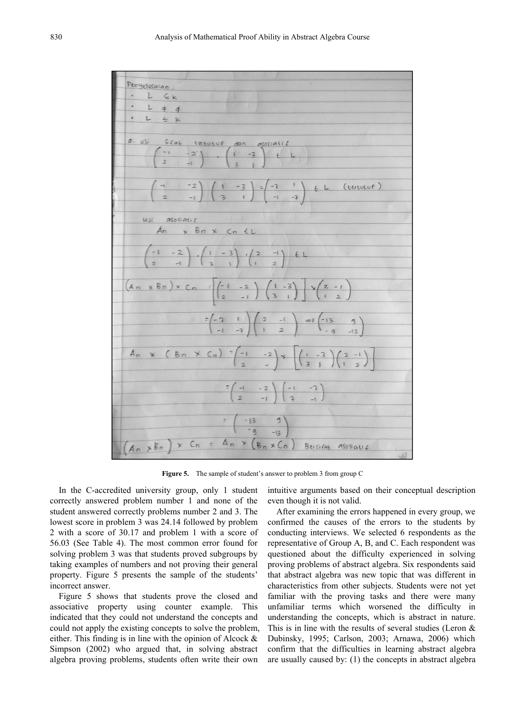

**Figure 5.** The sample of student's answer to problem 3 from group C

In the C-accredited university group, only 1 student correctly answered problem number 1 and none of the student answered correctly problems number 2 and 3. The lowest score in problem 3 was 24.14 followed by problem 2 with a score of 30.17 and problem 1 with a score of 56.03 (See Table 4). The most common error found for solving problem 3 was that students proved subgroups by taking examples of numbers and not proving their general property. Figure 5 presents the sample of the students' incorrect answer.

Figure 5 shows that students prove the closed and associative property using counter example. This indicated that they could not understand the concepts and could not apply the existing concepts to solve the problem, either. This finding is in line with the opinion of Alcock  $\&$ Simpson (2002) who argued that, in solving abstract algebra proving problems, students often write their own intuitive arguments based on their conceptual description even though it is not valid.

After examining the errors happened in every group, we confirmed the causes of the errors to the students by conducting interviews.We selected 6 respondents as the representative of Group A, B, and C. Each respondent was questioned about the difficulty experienced in solving proving problems of abstract algebra. Six respondents said that abstract algebra was new topic that was different in characteristics from other subjects. Students were not yet familiar with the proving tasks and there were many unfamiliar terms which worsened the difficulty in understanding the concepts, which is abstract in nature. This is in line with the results of several studies (Leron  $\&$ Dubinsky, 1995; Carlson, 2003; Arnawa, 2006) which confirm that the difficulties in learning abstract algebra are usually caused by: (1) the concepts in abstract algebra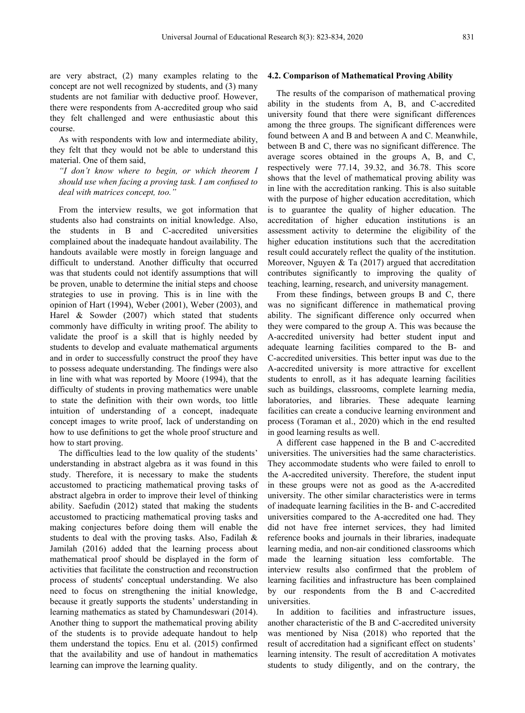are very abstract, (2) many examples relating to the concept are not well recognized by students, and (3) many students are not familiar with deductive proof. However, there were respondents from A-accredited group who said they felt challenged and were enthusiastic about this course.

As with respondents with low and intermediate ability, they felt that they would not be able to understand this material. One of them said,

*"I don't know where to begin, or which theorem I should use when facing a proving task. I am confused to deal with matrices concept, too."*

From the interview results, we got information that students also had constraints on initial knowledge. Also, the students in B and C-accredited universities complained about the inadequate handout availability. The handouts available were mostly in foreign language and difficult to understand. Another difficulty that occurred was that students could not identify assumptions that will be proven, unable to determine the initial steps and choose strategies to use in proving. This is in line with the opinion of Hart (1994), Weber (2001), Weber (2003), and Harel & Sowder (2007) which stated that students commonly have difficulty in writing proof. The ability to validate the proof is a skill that is highly needed by students to develop and evaluate mathematical arguments and in order to successfully construct the proof they have to possess adequate understanding. The findings were also in line with what was reported by Moore (1994), that the difficulty of students in proving mathematics were unable to state the definition with their own words, too little intuition of understanding of a concept, inadequate concept images to write proof, lack of understanding on how to use definitions to get the whole proof structure and how to start proving.

The difficulties lead to the low quality of the students' understanding in abstract algebra as it was found in this study. Therefore, it is necessary to make the students accustomed to practicing mathematical proving tasks of abstract algebra in order to improve their level of thinking ability. Saefudin  $(2012)$  stated that making the students accustomed to practicing mathematical proving tasks and making conjectures before doing them will enable the students to deal with the proving tasks. Also, Fadilah & Jamilah (2016) added that the learning process about mathematical proof should be displayed in the form of activities that facilitate the construction and reconstruction process of students' conceptual understanding. We also need to focus on strengthening the initial knowledge, because it greatly supports the students' understanding in learning mathematics as stated by Chamundeswari (2014). Another thing to support the mathematical proving ability of the students is to provide adequate handout to help them understand the topics.Enu et al. (2015) confirmed that the availability and use of handout in mathematics learning can improve the learning quality.

#### **4.2. Comparison of Mathematical Proving Ability**

The results of the comparison of mathematical proving ability in the students from A, B, and C-accredited university found that there were significant differences among the three groups. The significant differences were found between A and B and between A and C. Meanwhile, between B and C, there was no significant difference. The average scores obtained in the groups A, B, and C, respectively were 77.14, 39.32, and 36.78. This score shows that the level of mathematical proving ability was in line with the accreditation ranking. This is also suitable with the purpose of higher education accreditation, which is to guarantee the quality of higher education. The accreditation of higher education institutions is an assessment activity to determine the eligibility of the higher education institutions such that the accreditation result could accurately reflect the quality of the institution. Moreover, Nguyen & Ta (2017) argued that accreditation contributes significantly to improving the quality of teaching, learning, research, and university management.

From these findings, between groups B and C, there was no significant difference in mathematical proving ability. The significant difference only occurred when they were compared to the group A. This was because the A-accredited university had better student input and adequate learning facilities compared to the B- and C-accredited universities. This better input was due to the A-accredited university is more attractive for excellent students to enroll, as it has adequate learning facilities such as buildings, classrooms, complete learning media, laboratories, and libraries. These adequate learning facilities can create a conducive learning environment and process (Toraman et al., 2020) which in the end resulted in good learning results as well.

A different case happened in the B and C-accredited universities. The universities had the same characteristics. They accommodate students who were failed to enroll to the A-accredited university. Therefore, the student input in these groups were not as good as the A-accredited university. The other similar characteristics were in terms of inadequate learning facilities in the B- and C-accredited universities compared to the A-accredited one had. They did not have free internet services, they had limited reference books and journals in their libraries, inadequate learning media, and non-air conditioned classrooms which made the learning situation less comfortable. The interview results also confirmed that the problem of learning facilities and infrastructure has been complained by our respondents from the B and C-accredited universities.

In addition to facilities and infrastructure issues, another characteristic of the B and C-accredited university was mentioned by Nisa (2018) who reported that the result of accreditation had a significant effect on students' learning intensity. The result of accreditation A motivates students to study diligently, and on the contrary, the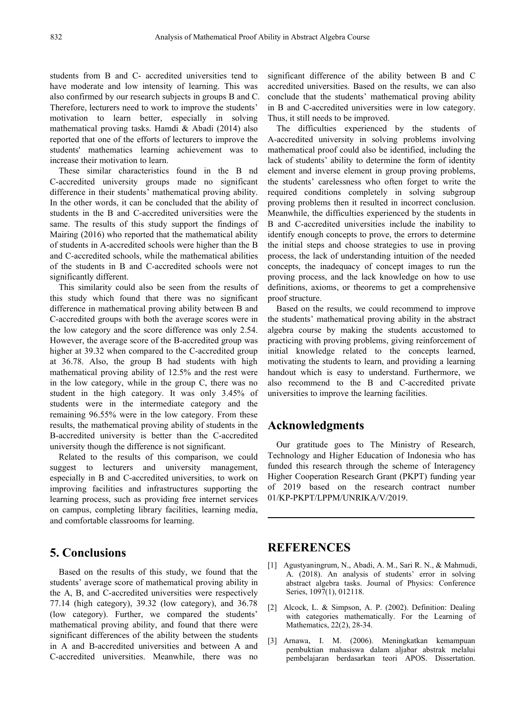students from B and C- accredited universities tend to have moderate and low intensity of learning. This was also confirmed by our research subjects in groups B and C. Therefore, lecturers need to work to improve the students' motivation to learn better, especially in solving mathematical proving tasks. Hamdi & Abadi (2014) also reported that one of the efforts of lecturers to improve the students' mathematics learning achievement was to increase their motivation to learn.

These similar characteristics found in the B nd C-accredited university groups made no significant difference in their students' mathematical proving ability. In the other words, it can be concluded that the ability of students in the B and C-accredited universities were the same. The results of this study support the findings of Mairing (2016) who reported that the mathematical ability of students in A-accredited schools were higher than the B and C-accredited schools, while the mathematical abilities of the students in B and C-accredited schools were not significantly different.

This similarity could also be seen from the results of this study which found that there was no significant difference in mathematical proving ability between B and C-accredited groups with both the average scores were in the low category and the score difference was only 2.54. However, the average score of the B-accredited group was higher at 39.32 when compared to the C-accredited group at 36.78. Also, the group B had students with high mathematical proving ability of 12.5% and the rest were in the low category, while in the group C, there was no student in the high category. It was only 3.45% of students were in the intermediate category and the remaining 96.55% were in the low category. From these results, the mathematical proving ability of students in the B-accredited university is better than the C-accredited university though the difference is not significant.

Related to the results of this comparison, we could suggest to lecturers and university management, especially in B and C-accredited universities, to work on improving facilities and infrastructures supporting the learning process, such as providing free internet services on campus, completing library facilities, learning media, and comfortable classrooms for learning.

# **5. Conclusions**

Based on the results of this study, we found that the students' average score of mathematical proving ability in the A, B, and C-accredited universities were respectively 77.14 (high category), 39.32 (low category), and 36.78 (low category). Further, we compared the students' mathematical proving ability, and found that there were significant differences of the ability between the students in A and B-accredited universities and between A and C-accredited universities. Meanwhile, there was no

significant difference of the ability between B and C accredited universities. Based on the results, we can also conclude that the students' mathematical proving ability in B and C-accredited universities were in low category. Thus, it still needs to be improved.

The difficulties experienced by the students of A-accredited university in solving problems involving mathematical proof could also be identified, including the lack of students' ability to determine the form of identity element and inverse element in group proving problems, the students' carelessness who often forget to write the required conditions completely in solving subgroup proving problems then it resulted in incorrect conclusion. Meanwhile, the difficulties experienced by the students in B and C-accredited universities include the inability to identify enough concepts to prove, the errors to determine the initial steps and choose strategies to use in proving process, the lack of understanding intuition of the needed concepts, the inadequacy of concept images to run the proving process, and the lack knowledge on how to use definitions, axioms, or theorems to get a comprehensive proof structure.

Based on the results, we could recommend to improve the students' mathematical proving ability in the abstract algebra course by making the students accustomed to practicing with proving problems, giving reinforcement of initial knowledge related to the concepts learned, motivating the students to learn, and providing a learning handout which is easy to understand. Furthermore, we also recommend to the B and C-accredited private universities to improve the learning facilities.

## **Acknowledgments**

Our gratitude goes to The Ministry of Research, Technology and Higher Education of Indonesia who has funded this research through the scheme of Interagency Higher Cooperation Research Grant (PKPT) funding year of 2019 based on the research contract number 01/KP-PKPT/LPPM/UNRIKA/V/2019.

## **REFERENCES**

- [1] Agustyaningrum, N., Abadi, A. M., Sari R. N., & Mahmudi, A. (2018). An analysis of students' error in solving abstract algebra tasks. Journal of Physics: Conference Series, 1097(1), 012118.
- [2] Alcock, L. & Simpson, A. P. (2002). Definition: Dealing with categories mathematically. For the Learning of Mathematics, 22(2), 28-34.
- [3] Arnawa, I. M. (2006). Meningkatkan kemampuan pembuktian mahasiswa dalam aljabar abstrak melalui pembelajaran berdasarkan teori APOS. Dissertation.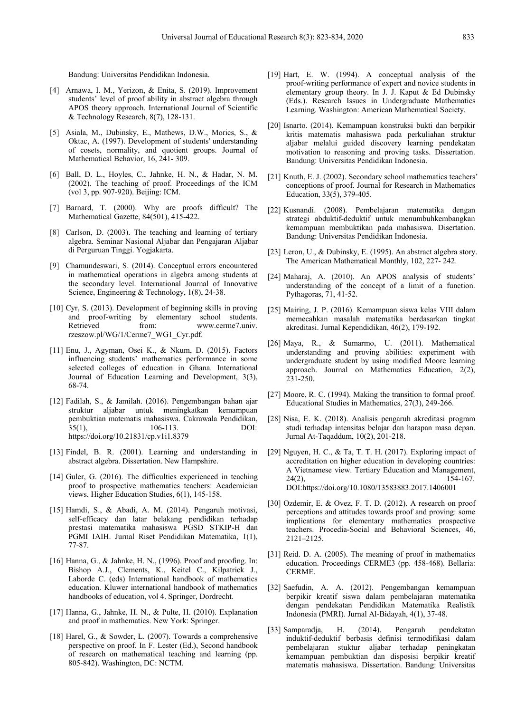Bandung: Universitas Pendidikan Indonesia.

- [4] Arnawa, I. M., Yerizon, & Enita, S. (2019). Improvement students' level of proof ability in abstract algebra through APOS theory approach. International Journal of Scientific & Technology Research,  $8(7)$ , 128-131.
- [5] Asiala, M., Dubinsky, E., Mathews, D.W., Morics, S., & Oktac, A. (1997). Development of students' understanding of cosets, normality, and quotient groups. Journal of Mathematical Behavior, 16, 241- 309.
- [6] Ball, D. L., Hoyles, C., Jahnke, H. N., & Hadar, N. M. (2002). The teaching of proof. Proceedings of the ICM (vol 3, pp. 907-920). Beijing: ICM.
- [7] Barnard, T. (2000). Why are proofs difficult? The Mathematical Gazette, 84(501), 415-422.
- [8] Carlson, D. (2003). The teaching and learning of tertiary algebra. Seminar Nasional Aljabar dan Pengajaran Aljabar di Perguruan Tinggi. Yogjakarta.
- [9] Chamundeswari, S. (2014). Conceptual errors encountered in mathematical operations in algebra among students at the secondary level. International Journal of Innovative Science, Engineering & Technology, 1(8), 24-38.
- [10] Cyr, S. (2013). Development of beginning skills in proving and proof-writing by elementary school students. Retrieved from: www.cerme7.univ. rzeszow.pl/WG/1/Cerme7\_WG1\_Cyr.pdf.
- [11] Enu, J., Agyman, Osei K., & Nkum, D. (2015). Factors influencing students' mathematics performance in some selected colleges of education in Ghana. International Journal of Education Learning and Development, 3(3), 68-74.
- [12] Fadilah, S., & Jamilah. (2016). Pengembangan bahan ajar struktur aljabar untuk meningkatkan kemampuan pembuktian matematis mahasiswa. Cakrawala Pendidikan, 35(1), 106-113. DOI: <https://doi.org/10.21831/cp.v1i1.8379>
- [13] Findel, B. R. (2001). Learning and understanding in abstract algebra. Dissertation. New Hampshire.
- [14] Guler, G. (2016). The difficulties experienced in teaching  $24(2)$ . proof to prospective mathematics teachers: Academician views. Higher Education Studies, 6(1), 145-158.
- [15] Hamdi, S., & Abadi, A. M. (2014). Pengaruh motivasi, self-efficacy dan latar belakang pendidikan terhadap prestasi matematika mahasiswa PGSD STKIP-H dan PGMI IAIH. Jurnal Riset Pendidikan Matematika, 1(1), 77-87.
- [16] Hanna, G., & Jahnke, H. N., (1996). Proof and proofing. In: Bishop A.J., Clements, K., Keitel C., Kilpatrick J., Laborde C. (eds) International handbook of mathematics education. Kluwer international handbook of mathematics handbooks of education, vol 4. Springer, Dordrecht.
- [17] Hanna, G., Jahnke, H. N., & Pulte, H. (2010). Explanation and proof in mathematics. New York: Springer.
- [18] Harel, G., & Sowder, L. (2007). Towards a comprehensive perspective on proof. In F. Lester (Ed.), Second handbook of research on mathematical teaching and learning (pp. 805-842). Washington, DC: NCTM.
- [19] Hart, E. W. (1994). A conceptual analysis of the proof-writing performance of expert and novice students in elementary group theory. In J. J. Kaput & Ed Dubinsky (Eds.). Research Issues in Undergraduate Mathematics Learning. Washington: American Mathematical Society.
- [20] Isnarto. (2014). Kemampuan konstruksi bukti dan berpikir kritis matematis mahasiswa pada perkuliahan struktur aljabar melalui guided discovery learning pendekatan motivation to reasoning and proving tasks. Dissertation. Bandung: Universitas Pendidikan Indonesia.
- [21] Knuth, E. J. (2002). Secondary school mathematics teachers' conceptions of proof. Journal for Research in Mathematics Education, 33(5), 379-405.
- [22] Kusnandi. (2008). Pembelajaran matematika dengan strategi abduktif-deduktif untuk menumbuhkembangkan kemampuan membuktikan pada mahasiswa. Disertation. Bandung: Universitas Pendidikan Indonesia.
- [23] Leron, U., & Dubinsky, E. (1995). An abstract algebra story. The American Mathematical Monthly, 102, 227- 242.
- [24] Maharaj, A. (2010). An APOS analysis of students' understanding of the concept of a limit of a function. Pythagoras, 71, 41-52.
- [25] Mairing, J. P. (2016). Kemampuan siswa kelas VIII dalam memecahkan masalah matematika berdasarkan tingkat akreditasi. Jurnal Kependidikan, 46(2), 179-192.
- [26] Maya, R., & Sumarmo, U. (2011). Mathematical understanding and proving abilities: experiment with undergraduate student by using modified Moore learning approach. Journal on Mathematics Education, 2(2),  $231 - 250$ .
- [27] Moore, R. C. (1994). Making the transition to formal proof. Educational Studies in Mathematics, 27(3), 249-266.
- [28] Nisa, E. K. (2018). Analisis pengaruh akreditasi program studi terhadap intensitas belajar dan harapan masa depan. Jurnal At-Taqaddum, 10(2), 201-218.
- [29] Nguyen, H. C., & Ta, T. T. H. (2017). Exploring impact of accreditation on higher education in developing countries: A Vietnamese view. Tertiary Education and Management, 154-167. DOI[:https://doi.org/10.1080/13583883.2017.1406001](https://doi.org/10.1080/13583883.2017.1406001)
- [30] Ozdemir, E. & Ovez, F. T. D. (2012). A research on proof perceptions and attitudes towards proof and proving: some implications for elementary mathematics prospective teachers. Procedia-Social and Behavioral Sciences, 46, 2121–2125.
- [31] Reid. D. A. (2005). The meaning of proof in mathematics education. Proceedings CERME3 (pp. 458-468). Bellaria: CERME.
- [32] Saefudin, A. A. (2012). Pengembangan kemampuan berpikir kreatif siswa dalam pembelajaran matematika dengan pendekatan Pendidikan Matematika Realistik Indonesia (PMRI). Jurnal Al-Bidayah, 4(1), 37-48.
- [33] Samparadja, H. (2014). Pengaruh pendekatan induktif-deduktif berbasis definisi termodifikasi dalam pembelajaran stuktur aljabar terhadap peningkatan kemampuan pembuktian dan disposisi berpikir kreatif matematis mahasiswa. Dissertation. Bandung: Universitas